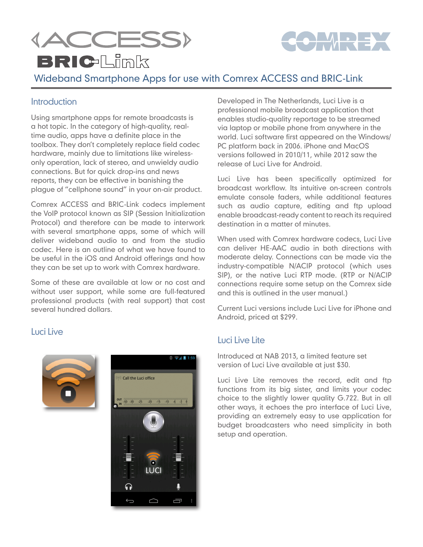



# **BRIC-Limk**

## Wideband Smartphone Apps for use with Comrex ACCESS and BRIC-Link

#### **Introduction**

Using smartphone apps for remote broadcasts is a hot topic. In the category of high-quality, realtime audio, apps have a definite place in the toolbox. They don't completely replace field codec hardware, mainly due to limitations like wirelessonly operation, lack of stereo, and unwieldy audio connections. But for quick drop-ins and news reports, they can be effective in banishing the plague of "cellphone sound" in your on-air product.

Comrex ACCESS and BRIC-Link codecs implement the VoIP protocol known as SIP (Session Initialization Protocol) and therefore can be made to interwork with several smartphone apps, some of which will deliver wideband audio to and from the studio codec. Here is an outline of what we have found to be useful in the iOS and Android offerings and how they can be set up to work with Comrex hardware.

Some of these are available at low or no cost and without user support, while some are full-featured professional products (with real support) that cost several hundred dollars.

#### Luci Live





Developed in The Netherlands, Luci Live is a professional mobile broadcast application that enables studio-quality reportage to be streamed via laptop or mobile phone from anywhere in the world. Luci software first appeared on the Windows/ PC platform back in 2006. iPhone and MacOS versions followed in 2010/11, while 2012 saw the release of Luci Live for Android.

Luci Live has been specifically optimized for broadcast workflow. Its intuitive on-screen controls emulate console faders, while additional features such as audio capture, editing and ftp upload enable broadcast-ready content to reach its required destination in a matter of minutes.

When used with Comrex hardware codecs, Luci Live can deliver HE-AAC audio in both directions with moderate delay. Connections can be made via the industry-compatible N/ACIP protocol (which uses SIP), or the native Luci RTP mode. (RTP or N/ACIP connections require some setup on the Comrex side and this is outlined in the user manual.)

Current Luci versions include Luci Live for iPhone and Android, priced at \$299.

#### Luci Live Lite

Introduced at NAB 2013, a limited feature set version of Luci Live available at just \$30.

Luci Live Lite removes the record, edit and ftp functions from its big sister, and limits your codec choice to the slightly lower quality G.722. But in all other ways, it echoes the pro interface of Luci Live, providing an extremely easy to use application for budget broadcasters who need simplicity in both setup and operation.